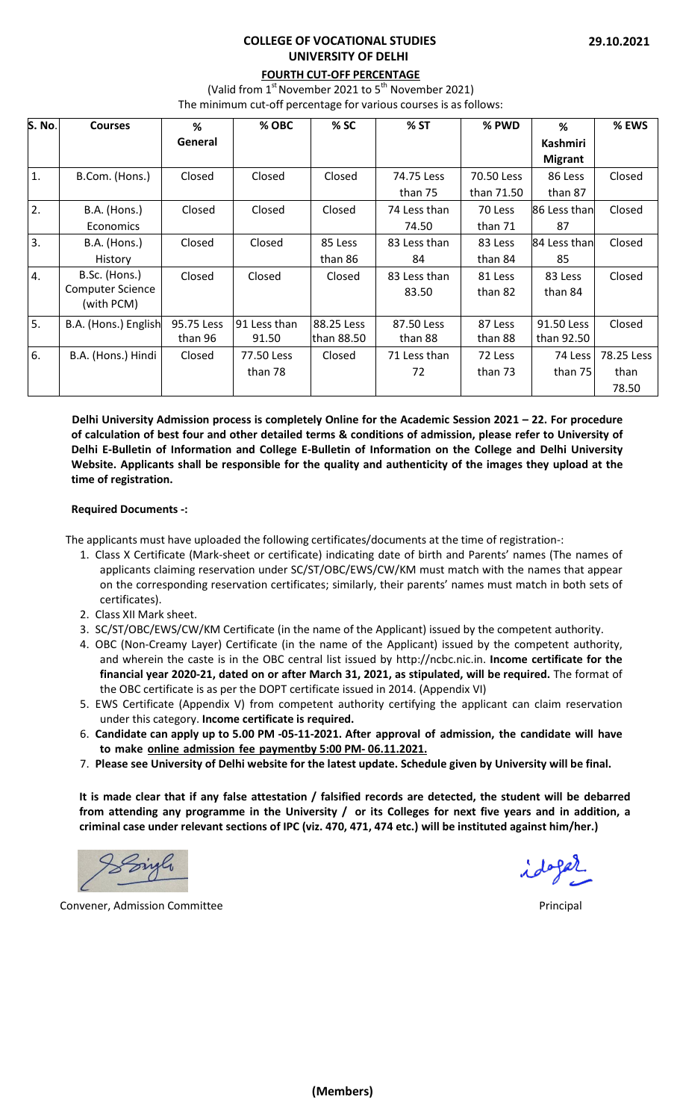## **COLLEGE OF VOCATIONAL STUDIES UNIVERSITY OF DELHI**

# **FOURTH CUT-OFF PERCENTAGE**

(Valid from  $1<sup>st</sup>$  November 2021 to  $5<sup>th</sup>$  November 2021)

The minimum cut-off percentage for various courses is as follows:

| <b>S. No.</b> | <b>Courses</b>          | %          | % OBC        | % SC       | % ST         | % PWD      | %              | % EWS      |
|---------------|-------------------------|------------|--------------|------------|--------------|------------|----------------|------------|
|               |                         | General    |              |            |              |            | Kashmiri       |            |
|               |                         |            |              |            |              |            | <b>Migrant</b> |            |
| 1.            | B.Com. (Hons.)          | Closed     | Closed       | Closed     | 74.75 Less   | 70.50 Less | 86 Less        | Closed     |
|               |                         |            |              |            | than 75      | than 71.50 | than 87        |            |
| 2.            | <b>B.A.</b> (Hons.)     | Closed     | Closed       | Closed     | 74 Less than | 70 Less    | 86 Less than   | Closed     |
|               | <b>Economics</b>        |            |              |            | 74.50        | than 71    | 87             |            |
| 3.            | B.A. (Hons.)            | Closed     | Closed       | 85 Less    | 83 Less than | 83 Less    | 84 Less than   | Closed     |
|               | History                 |            |              | than 86    | 84           | than 84    | 85             |            |
| 4.            | B.Sc. (Hons.)           | Closed     | Closed       | Closed     | 83 Less than | 81 Less    | 83 Less        | Closed     |
|               | <b>Computer Science</b> |            |              |            | 83.50        | than 82    | than 84        |            |
|               | (with PCM)              |            |              |            |              |            |                |            |
| 5.            | B.A. (Hons.) English    | 95.75 Less | 91 Less than | 88.25 Less | 87.50 Less   | 87 Less    | 91.50 Less     | Closed     |
|               |                         | than 96    | 91.50        | than 88.50 | than 88      | than 88    | than 92.50     |            |
| 6.            | B.A. (Hons.) Hindi      | Closed     | 77.50 Less   | Closed     | 71 Less than | 72 Less    | 74 Less        | 78.25 Less |
|               |                         |            | than 78      |            | 72           | than 73    | than 75        | than       |
|               |                         |            |              |            |              |            |                | 78.50      |

**Delhi University Admission process is completely Online for the Academic Session 2021 – 22. For procedure of calculation of best four and other detailed terms & conditions of admission, please refer to University of Delhi E-Bulletin of Information and College E-Bulletin of Information on the College and Delhi University Website. Applicants shall be responsible for the quality and authenticity of the images they upload at the time of registration.**

## **Required Documents -:**

The applicants must have uploaded the following certificates/documents at the time of registration-:

- 1. Class X Certificate (Mark-sheet or certificate) indicating date of birth and Parents' names (The names of applicants claiming reservation under SC/ST/OBC/EWS/CW/KM must match with the names that appear on the corresponding reservation certificates; similarly, their parents' names must match in both sets of certificates).
- 2. Class XII Mark sheet.
- 3. SC/ST/OBC/EWS/CW/KM Certificate (in the name of the Applicant) issued by the competent authority.
- 4. OBC (Non-Creamy Layer) Certificate (in the name of the Applicant) issued by the competent authority, and wherein the caste is in the OBC central list issued by [http://ncbc.nic.in.](http://ncbc.nic.in/) **Income certificate for the financial year 2020-21, dated on or after March 31, 2021, as stipulated, will be required.** The format of the OBC certificate is as per the DOPT certificate issued in 2014. (Appendix VI)
- 5. EWS Certificate (Appendix V) from competent authority certifying the applicant can claim reservation under this category. **Income certificate is required.**
- 6. **Candidate can apply up to 5.00 PM -05-11-2021. After approval of admission, the candidate will have to make online admission fee payment by 5:00 PM- 06.11.2021.**
- 7. **Please see University of Delhi website for the latest update. Schedule given by University will be final.**

**It is made clear that if any false attestation / falsified records are detected, the student will be debarred from attending any programme in the University / or its Colleges for next five years and in addition, a criminal case under relevant sections of IPC (viz. 470, 471, 474 etc.) will be instituted against him/her.)**

Convener, Admission Committee **Principal** Admission Committee **Principal** Principal Principal Principal Principal